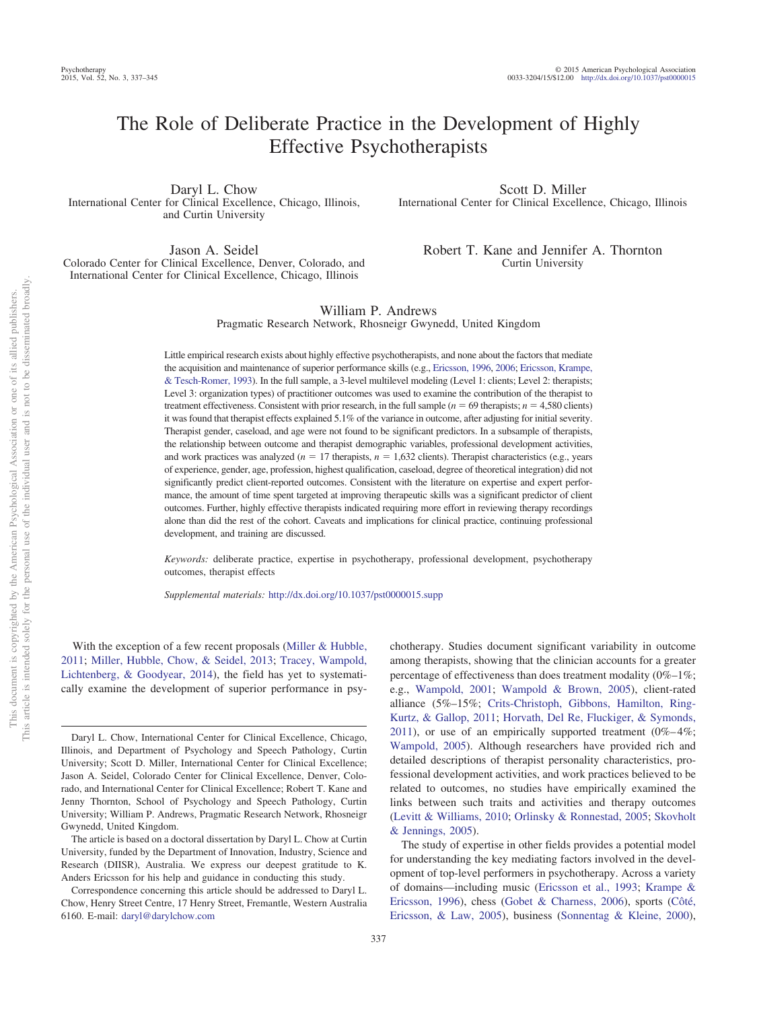# The Role of Deliberate Practice in the Development of Highly Effective Psychotherapists

Daryl L. Chow International Center for Clinical Excellence, Chicago, Illinois, and Curtin University

International Center for Clinical Excellence, Chicago, Illinois

Scott D. Miller

Jason A. Seidel Colorado Center for Clinical Excellence, Denver, Colorado, and International Center for Clinical Excellence, Chicago, Illinois

Robert T. Kane and Jennifer A. Thornton Curtin University

chotherapy. Studies document significant variability in outcome among therapists, showing that the clinician accounts for a greater percentage of effectiveness than does treatment modality  $(0\% - 1\%)$ ; e.g., [Wampold, 2001;](#page-8-3) [Wampold & Brown, 2005\)](#page-8-4), client-rated alliance (5%–15%; [Crits-Christoph, Gibbons, Hamilton, Ring-](#page-7-3)[Kurtz, & Gallop, 2011;](#page-7-3) [Horvath, Del Re, Fluckiger, & Symonds,](#page-7-4) [2011\)](#page-7-4), or use of an empirically supported treatment ( $0\%-4\%$ ; [Wampold, 2005\)](#page-8-5). Although researchers have provided rich and detailed descriptions of therapist personality characteristics, professional development activities, and work practices believed to be related to outcomes, no studies have empirically examined the

William P. Andrews

Pragmatic Research Network, Rhosneigr Gwynedd, United Kingdom

Little empirical research exists about highly effective psychotherapists, and none about the factors that mediate the acquisition and maintenance of superior performance skills (e.g., [Ericsson, 1996,](#page-7-0) [2006;](#page-7-1) [Ericsson, Krampe,](#page-7-2) [& Tesch-Romer, 1993\)](#page-7-2). In the full sample, a 3-level multilevel modeling (Level 1: clients; Level 2: therapists; Level 3: organization types) of practitioner outcomes was used to examine the contribution of the therapist to treatment effectiveness. Consistent with prior research, in the full sample  $(n = 69$  therapists;  $n = 4,580$  clients) it was found that therapist effects explained 5.1% of the variance in outcome, after adjusting for initial severity. Therapist gender, caseload, and age were not found to be significant predictors. In a subsample of therapists, the relationship between outcome and therapist demographic variables, professional development activities, and work practices was analyzed  $(n = 17$  therapists,  $n = 1,632$  clients). Therapist characteristics (e.g., years of experience, gender, age, profession, highest qualification, caseload, degree of theoretical integration) did not significantly predict client-reported outcomes. Consistent with the literature on expertise and expert performance, the amount of time spent targeted at improving therapeutic skills was a significant predictor of client outcomes. Further, highly effective therapists indicated requiring more effort in reviewing therapy recordings alone than did the rest of the cohort. Caveats and implications for clinical practice, continuing professional development, and training are discussed.

*Keywords:* deliberate practice, expertise in psychotherapy, professional development, psychotherapy outcomes, therapist effects

*Supplemental materials:* http://dx.doi.org[/10.1037/pst0000015.supp](http://dx.doi.org/10.1037/pst0000015.supp)

With the exception of a few recent proposals [\(Miller & Hubble,](#page-8-0) [2011;](#page-8-0) [Miller, Hubble, Chow, & Seidel, 2013;](#page-8-1) [Tracey, Wampold,](#page-8-2) [Lichtenberg, & Goodyear, 2014\)](#page-8-2), the field has yet to systematically examine the development of superior performance in psy-

links between such traits and activities and therapy outcomes [\(Levitt & Williams, 2010;](#page-8-6) [Orlinsky & Ronnestad, 2005;](#page-8-7) [Skovholt](#page-8-8) [& Jennings, 2005\)](#page-8-8). The study of expertise in other fields provides a potential model for understanding the key mediating factors involved in the development of top-level performers in psychotherapy. Across a variety of domains—including music [\(Ericsson et al., 1993;](#page-7-2) [Krampe &](#page-8-9) [Ericsson, 1996\)](#page-8-9), chess [\(Gobet & Charness, 2006\)](#page-7-5), sports [\(Côté,](#page-7-6)

[Ericsson, & Law, 2005\)](#page-7-6), business [\(Sonnentag & Kleine, 2000\)](#page-8-10),

Daryl L. Chow, International Center for Clinical Excellence, Chicago, Illinois, and Department of Psychology and Speech Pathology, Curtin University; Scott D. Miller, International Center for Clinical Excellence; Jason A. Seidel, Colorado Center for Clinical Excellence, Denver, Colorado, and International Center for Clinical Excellence; Robert T. Kane and Jenny Thornton, School of Psychology and Speech Pathology, Curtin University; William P. Andrews, Pragmatic Research Network, Rhosneigr Gwynedd, United Kingdom.

The article is based on a doctoral dissertation by Daryl L. Chow at Curtin University, funded by the Department of Innovation, Industry, Science and Research (DIISR), Australia. We express our deepest gratitude to K. Anders Ericsson for his help and guidance in conducting this study.

Correspondence concerning this article should be addressed to Daryl L. Chow, Henry Street Centre, 17 Henry Street, Fremantle, Western Australia 6160. E-mail: [daryl@darylchow.com](mailto:daryl@darylchow.com)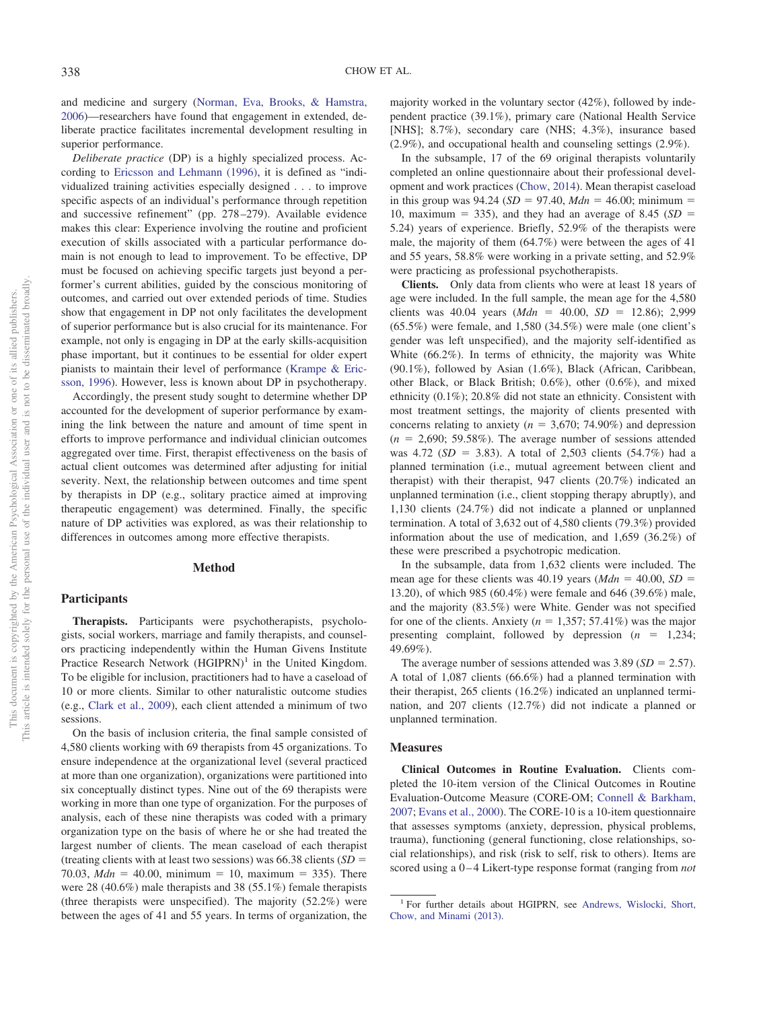and medicine and surgery [\(Norman, Eva, Brooks, & Hamstra,](#page-8-11) [2006\)](#page-8-11)—researchers have found that engagement in extended, deliberate practice facilitates incremental development resulting in superior performance.

*Deliberate practice* (DP) is a highly specialized process. According to [Ericsson and Lehmann \(1996\),](#page-7-7) it is defined as "individualized training activities especially designed . . . to improve specific aspects of an individual's performance through repetition and successive refinement" (pp. 278 –279). Available evidence makes this clear: Experience involving the routine and proficient execution of skills associated with a particular performance domain is not enough to lead to improvement. To be effective, DP must be focused on achieving specific targets just beyond a performer's current abilities, guided by the conscious monitoring of outcomes, and carried out over extended periods of time. Studies show that engagement in DP not only facilitates the development of superior performance but is also crucial for its maintenance. For example, not only is engaging in DP at the early skills-acquisition phase important, but it continues to be essential for older expert pianists to maintain their level of performance [\(Krampe & Eric](#page-8-9)[sson, 1996\)](#page-8-9). However, less is known about DP in psychotherapy.

Accordingly, the present study sought to determine whether DP accounted for the development of superior performance by examining the link between the nature and amount of time spent in efforts to improve performance and individual clinician outcomes aggregated over time. First, therapist effectiveness on the basis of actual client outcomes was determined after adjusting for initial severity. Next, the relationship between outcomes and time spent by therapists in DP (e.g., solitary practice aimed at improving therapeutic engagement) was determined. Finally, the specific nature of DP activities was explored, as was their relationship to differences in outcomes among more effective therapists.

# **Method**

# **Participants**

**Therapists.** Participants were psychotherapists, psychologists, social workers, marriage and family therapists, and counselors practicing independently within the Human Givens Institute Practice Research Network  $(HGIPRN)^1$  in the United Kingdom. To be eligible for inclusion, practitioners had to have a caseload of 10 or more clients. Similar to other naturalistic outcome studies (e.g., [Clark et al., 2009\)](#page-7-8), each client attended a minimum of two sessions.

On the basis of inclusion criteria, the final sample consisted of 4,580 clients working with 69 therapists from 45 organizations. To ensure independence at the organizational level (several practiced at more than one organization), organizations were partitioned into six conceptually distinct types. Nine out of the 69 therapists were working in more than one type of organization. For the purposes of analysis, each of these nine therapists was coded with a primary organization type on the basis of where he or she had treated the largest number of clients. The mean caseload of each therapist (treating clients with at least two sessions) was  $66.38$  clients ( $SD =$ 70.03,  $Mdn = 40.00$ , minimum = 10, maximum = 335). There were 28 (40.6%) male therapists and 38 (55.1%) female therapists (three therapists were unspecified). The majority (52.2%) were between the ages of 41 and 55 years. In terms of organization, the

majority worked in the voluntary sector (42%), followed by independent practice (39.1%), primary care (National Health Service [NHS]; 8.7%), secondary care (NHS; 4.3%), insurance based (2.9%), and occupational health and counseling settings (2.9%).

In the subsample, 17 of the 69 original therapists voluntarily completed an online questionnaire about their professional development and work practices [\(Chow, 2014\)](#page-7-9). Mean therapist caseload in this group was  $94.24$  (*SD* = 97.40, *Mdn* = 46.00; minimum = 10, maximum = 335), and they had an average of 8.45 ( $SD =$ 5.24) years of experience. Briefly, 52.9% of the therapists were male, the majority of them (64.7%) were between the ages of 41 and 55 years, 58.8% were working in a private setting, and 52.9% were practicing as professional psychotherapists.

**Clients.** Only data from clients who were at least 18 years of age were included. In the full sample, the mean age for the 4,580 clients was  $40.04$  years  $(Mdn = 40.00, SD = 12.86)$ ; 2,999  $(65.5%)$  were female, and 1,580 (34.5%) were male (one client's gender was left unspecified), and the majority self-identified as White (66.2%). In terms of ethnicity, the majority was White (90.1%), followed by Asian (1.6%), Black (African, Caribbean, other Black, or Black British; 0.6%), other (0.6%), and mixed ethnicity (0.1%); 20.8% did not state an ethnicity. Consistent with most treatment settings, the majority of clients presented with concerns relating to anxiety  $(n = 3,670; 74.90\%)$  and depression  $(n = 2,690; 59.58\%)$ . The average number of sessions attended was  $4.72$  (*SD* = 3.83). A total of 2,503 clients (54.7%) had a planned termination (i.e., mutual agreement between client and therapist) with their therapist, 947 clients (20.7%) indicated an unplanned termination (i.e., client stopping therapy abruptly), and 1,130 clients (24.7%) did not indicate a planned or unplanned termination. A total of 3,632 out of 4,580 clients (79.3%) provided information about the use of medication, and 1,659 (36.2%) of these were prescribed a psychotropic medication.

In the subsample, data from 1,632 clients were included. The mean age for these clients was  $40.19$  years ( $Mdn = 40.00$ ,  $SD =$ 13.20), of which 985 (60.4%) were female and 646 (39.6%) male, and the majority (83.5%) were White. Gender was not specified for one of the clients. Anxiety  $(n = 1,357; 57.41\%)$  was the major presenting complaint, followed by depression  $(n = 1,234;$ 49.69%).

The average number of sessions attended was  $3.89$  (*SD* = 2.57). A total of 1,087 clients (66.6%) had a planned termination with their therapist, 265 clients (16.2%) indicated an unplanned termination, and 207 clients (12.7%) did not indicate a planned or unplanned termination.

#### **Measures**

**Clinical Outcomes in Routine Evaluation.** Clients completed the 10-item version of the Clinical Outcomes in Routine Evaluation-Outcome Measure (CORE-OM; [Connell & Barkham,](#page-7-10) [2007;](#page-7-10) [Evans et al., 2000\)](#page-7-11). The CORE-10 is a 10-item questionnaire that assesses symptoms (anxiety, depression, physical problems, trauma), functioning (general functioning, close relationships, social relationships), and risk (risk to self, risk to others). Items are scored using a 0-4 Likert-type response format (ranging from *not* 

<sup>&</sup>lt;sup>1</sup> For further details about HGIPRN, see [Andrews, Wislocki, Short,](#page-7-12) [Chow, and Minami \(2013\).](#page-7-12)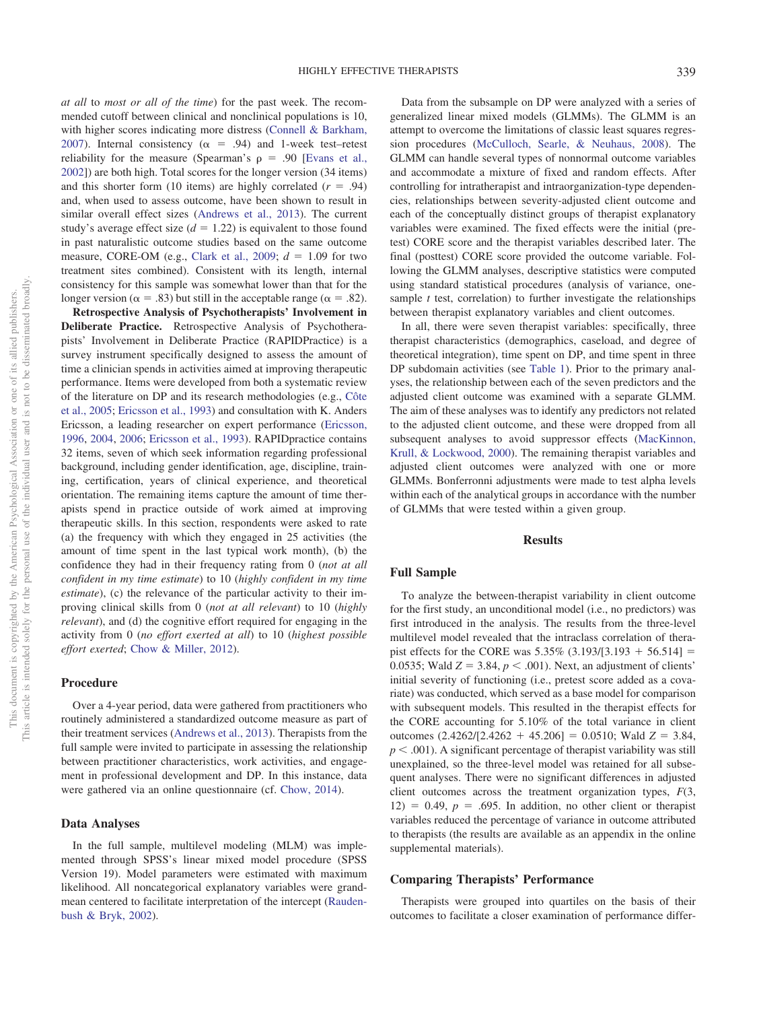*at all* to *most or all of the time*) for the past week. The recommended cutoff between clinical and nonclinical populations is 10, with higher scores indicating more distress [\(Connell & Barkham,](#page-7-10) [2007\)](#page-7-10). Internal consistency ( $\alpha = .94$ ) and 1-week test–retest reliability for the measure (Spearman's  $\rho = .90$  [\[Evans et al.,](#page-7-13) [2002\]](#page-7-13)) are both high. Total scores for the longer version (34 items) and this shorter form  $(10$  items) are highly correlated  $(r = .94)$ and, when used to assess outcome, have been shown to result in similar overall effect sizes [\(Andrews et al., 2013\)](#page-7-12). The current study's average effect size  $(d = 1.22)$  is equivalent to those found in past naturalistic outcome studies based on the same outcome measure, CORE-OM (e.g., [Clark et al., 2009;](#page-7-8)  $d = 1.09$  for two treatment sites combined). Consistent with its length, internal consistency for this sample was somewhat lower than that for the longer version ( $\alpha = .83$ ) but still in the acceptable range ( $\alpha = .82$ ).

**Retrospective Analysis of Psychotherapists' Involvement in Deliberate Practice.** Retrospective Analysis of Psychotherapists' Involvement in Deliberate Practice (RAPIDPractice) is a survey instrument specifically designed to assess the amount of time a clinician spends in activities aimed at improving therapeutic performance. Items were developed from both a systematic review of the literature on DP and its research methodologies (e.g., [Côte](#page-7-6) [et al., 2005;](#page-7-6) [Ericsson et al., 1993\)](#page-7-2) and consultation with K. Anders Ericsson, a leading researcher on expert performance [\(Ericsson,](#page-7-0) [1996,](#page-7-0) [2004,](#page-7-14) [2006;](#page-7-1) [Ericsson et al., 1993\)](#page-7-2). RAPIDpractice contains 32 items, seven of which seek information regarding professional background, including gender identification, age, discipline, training, certification, years of clinical experience, and theoretical orientation. The remaining items capture the amount of time therapists spend in practice outside of work aimed at improving therapeutic skills. In this section, respondents were asked to rate (a) the frequency with which they engaged in 25 activities (the amount of time spent in the last typical work month), (b) the confidence they had in their frequency rating from 0 (*not at all confident in my time estimate*) to 10 (*highly confident in my time estimate*), (c) the relevance of the particular activity to their improving clinical skills from 0 (*not at all relevant*) to 10 (*highly relevant*), and (d) the cognitive effort required for engaging in the activity from 0 (*no effort exerted at all*) to 10 (*highest possible effort exerted*; [Chow & Miller, 2012\)](#page-7-15).

# **Procedure**

Over a 4-year period, data were gathered from practitioners who routinely administered a standardized outcome measure as part of their treatment services [\(Andrews et al., 2013\)](#page-7-12). Therapists from the full sample were invited to participate in assessing the relationship between practitioner characteristics, work activities, and engagement in professional development and DP. In this instance, data were gathered via an online questionnaire (cf. [Chow, 2014\)](#page-7-9).

#### **Data Analyses**

In the full sample, multilevel modeling (MLM) was implemented through SPSS's linear mixed model procedure (SPSS Version 19). Model parameters were estimated with maximum likelihood. All noncategorical explanatory variables were grandmean centered to facilitate interpretation of the intercept [\(Rauden](#page-8-12)[bush & Bryk, 2002\)](#page-8-12).

Data from the subsample on DP were analyzed with a series of generalized linear mixed models (GLMMs). The GLMM is an attempt to overcome the limitations of classic least squares regression procedures [\(McCulloch, Searle, & Neuhaus, 2008\)](#page-8-13). The GLMM can handle several types of nonnormal outcome variables and accommodate a mixture of fixed and random effects. After controlling for intratherapist and intraorganization-type dependencies, relationships between severity-adjusted client outcome and each of the conceptually distinct groups of therapist explanatory variables were examined. The fixed effects were the initial (pretest) CORE score and the therapist variables described later. The final (posttest) CORE score provided the outcome variable. Following the GLMM analyses, descriptive statistics were computed using standard statistical procedures (analysis of variance, onesample *t* test, correlation) to further investigate the relationships between therapist explanatory variables and client outcomes.

In all, there were seven therapist variables: specifically, three therapist characteristics (demographics, caseload, and degree of theoretical integration), time spent on DP, and time spent in three DP subdomain activities (see [Table 1\)](#page-3-0). Prior to the primary analyses, the relationship between each of the seven predictors and the adjusted client outcome was examined with a separate GLMM. The aim of these analyses was to identify any predictors not related to the adjusted client outcome, and these were dropped from all subsequent analyses to avoid suppressor effects [\(MacKinnon,](#page-8-14) [Krull, & Lockwood, 2000\)](#page-8-14). The remaining therapist variables and adjusted client outcomes were analyzed with one or more GLMMs. Bonferronni adjustments were made to test alpha levels within each of the analytical groups in accordance with the number of GLMMs that were tested within a given group.

# **Results**

## **Full Sample**

To analyze the between-therapist variability in client outcome for the first study, an unconditional model (i.e., no predictors) was first introduced in the analysis. The results from the three-level multilevel model revealed that the intraclass correlation of therapist effects for the CORE was  $5.35\%$   $(3.193/[3.193 + 56.514] =$ 0.0535; Wald  $Z = 3.84$ ,  $p < .001$ ). Next, an adjustment of clients' initial severity of functioning (i.e., pretest score added as a covariate) was conducted, which served as a base model for comparison with subsequent models. This resulted in the therapist effects for the CORE accounting for 5.10% of the total variance in client outcomes  $(2.4262/[2.4262 + 45.206] = 0.0510$ ; Wald  $Z = 3.84$ ,  $p < .001$ ). A significant percentage of therapist variability was still unexplained, so the three-level model was retained for all subsequent analyses. There were no significant differences in adjusted client outcomes across the treatment organization types, *F*(3,  $12) = 0.49$ ,  $p = .695$ . In addition, no other client or therapist variables reduced the percentage of variance in outcome attributed to therapists (the results are available as an appendix in the online supplemental materials).

## **Comparing Therapists' Performance**

Therapists were grouped into quartiles on the basis of their outcomes to facilitate a closer examination of performance differ-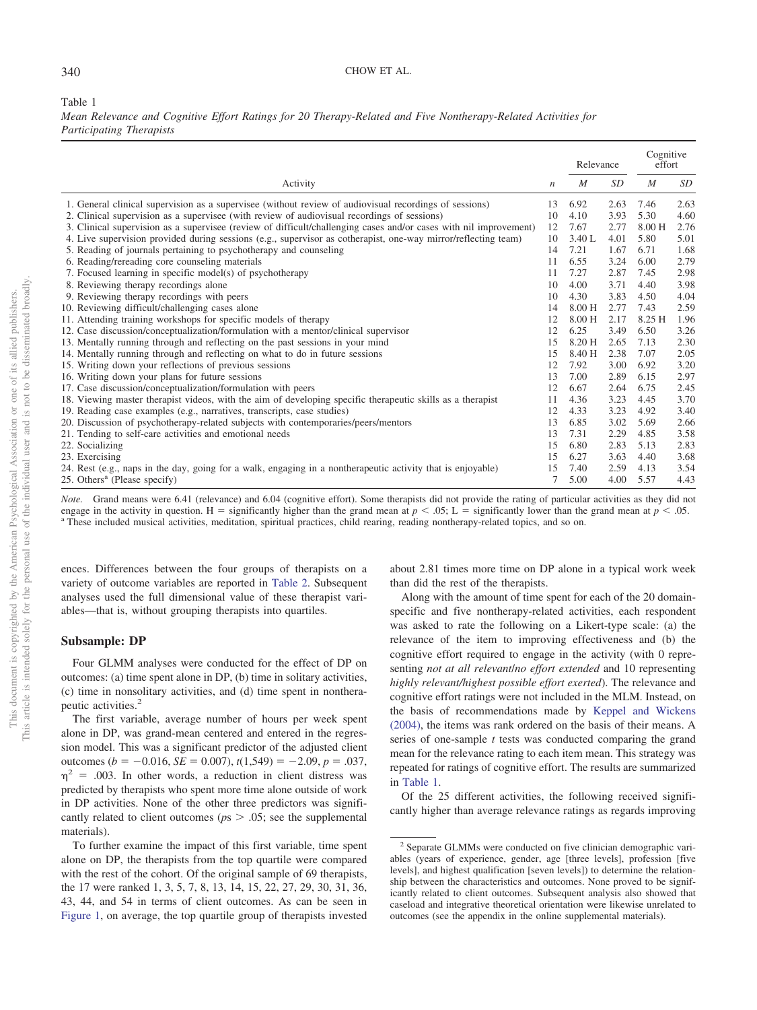#### 340 CHOW ET AL.

<span id="page-3-0"></span>Table 1

|                          |  |  | Mean Relevance and Cognitive Effort Ratings for 20 Therapy-Related and Five Nontherapy-Related Activities for |  |  |  |
|--------------------------|--|--|---------------------------------------------------------------------------------------------------------------|--|--|--|
| Participating Therapists |  |  |                                                                                                               |  |  |  |

|                                                                                                                   |                  | Relevance |      | Cognitive<br>effort |      |
|-------------------------------------------------------------------------------------------------------------------|------------------|-----------|------|---------------------|------|
| Activity                                                                                                          | $\boldsymbol{n}$ | M         | SD   | $\boldsymbol{M}$    | SD   |
| 1. General clinical supervision as a supervisee (without review of audiovisual recordings of sessions)            | 13               | 6.92      | 2.63 | 7.46                | 2.63 |
| 2. Clinical supervision as a supervisee (with review of audiovisual recordings of sessions)                       | 10               | 4.10      | 3.93 | 5.30                | 4.60 |
| 3. Clinical supervision as a supervisee (review of difficult/challenging cases and/or cases with nil improvement) | 12               | 7.67      | 2.77 | 8.00 H              | 2.76 |
| 4. Live supervision provided during sessions (e.g., supervisor as cotherapist, one-way mirror/reflecting team)    | 10               | 3.40 L    | 4.01 | 5.80                | 5.01 |
| 5. Reading of journals pertaining to psychotherapy and counseling                                                 | 14               | 7.21      | 1.67 | 6.71                | 1.68 |
| 6. Reading/rereading core counseling materials                                                                    | 11               | 6.55      | 3.24 | 6.00                | 2.79 |
| 7. Focused learning in specific model(s) of psychotherapy                                                         | 11               | 7.27      | 2.87 | 7.45                | 2.98 |
| 8. Reviewing therapy recordings alone                                                                             | 10               | 4.00      | 3.71 | 4.40                | 3.98 |
| 9. Reviewing therapy recordings with peers                                                                        | 10               | 4.30      | 3.83 | 4.50                | 4.04 |
| 10. Reviewing difficult/challenging cases alone                                                                   | 14               | 8.00H     | 2.77 | 7.43                | 2.59 |
| 11. Attending training workshops for specific models of therapy                                                   | 12               | 8.00H     | 2.17 | 8.25 H              | 1.96 |
| 12. Case discussion/conceptualization/formulation with a mentor/clinical supervisor                               | 12               | 6.25      | 3.49 | 6.50                | 3.26 |
| 13. Mentally running through and reflecting on the past sessions in your mind                                     | 15               | 8.20 H    | 2.65 | 7.13                | 2.30 |
| 14. Mentally running through and reflecting on what to do in future sessions                                      | 15               | 8.40 H    | 2.38 | 7.07                | 2.05 |
| 15. Writing down your reflections of previous sessions                                                            | 12               | 7.92      | 3.00 | 6.92                | 3.20 |
| 16. Writing down your plans for future sessions                                                                   | 13               | 7.00      | 2.89 | 6.15                | 2.97 |
| 17. Case discussion/conceptualization/formulation with peers                                                      | 12               | 6.67      | 2.64 | 6.75                | 2.45 |
| 18. Viewing master therapist videos, with the aim of developing specific therapeutic skills as a therapist        | 11               | 4.36      | 3.23 | 4.45                | 3.70 |
| 19. Reading case examples (e.g., narratives, transcripts, case studies)                                           | 12               | 4.33      | 3.23 | 4.92                | 3.40 |
| 20. Discussion of psychotherapy-related subjects with contemporaries/peers/mentors                                | 13               | 6.85      | 3.02 | 5.69                | 2.66 |
| 21. Tending to self-care activities and emotional needs                                                           | 13               | 7.31      | 2.29 | 4.85                | 3.58 |
| 22. Socializing                                                                                                   | 15               | 6.80      | 2.83 | 5.13                | 2.83 |
| 23. Exercising                                                                                                    | 15               | 6.27      | 3.63 | 4.40                | 3.68 |
| 24. Rest (e.g., naps in the day, going for a walk, engaging in a nontherapeutic activity that is enjoyable)       | 15               | 7.40      | 2.59 | 4.13                | 3.54 |
| 25. Others <sup>a</sup> (Please specify)                                                                          |                  | 5.00      | 4.00 | 5.57                | 4.43 |

*Note.* Grand means were 6.41 (relevance) and 6.04 (cognitive effort). Some therapists did not provide the rating of particular activities as they did not engage in the activity in question. H = significantly higher than the grand mean at  $p < .05$ ; L = significantly lower than the grand mean at  $p < .05$ .<br><sup>a</sup> These included musical activities, meditation, spiritual practices,

ences. Differences between the four groups of therapists on a variety of outcome variables are reported in [Table 2.](#page-4-0) Subsequent analyses used the full dimensional value of these therapist variables—that is, without grouping therapists into quartiles.

#### **Subsample: DP**

Four GLMM analyses were conducted for the effect of DP on outcomes: (a) time spent alone in DP, (b) time in solitary activities, (c) time in nonsolitary activities, and (d) time spent in nontherapeutic activities.2

The first variable, average number of hours per week spent alone in DP, was grand-mean centered and entered in the regression model. This was a significant predictor of the adjusted client outcomes ( $b = -0.016$ ,  $SE = 0.007$ ),  $t(1,549) = -2.09$ ,  $p = .037$ ,  $\eta^2$  = .003. In other words, a reduction in client distress was predicted by therapists who spent more time alone outside of work in DP activities. None of the other three predictors was significantly related to client outcomes ( $p_s$   $> .05$ ; see the supplemental materials).

To further examine the impact of this first variable, time spent alone on DP, the therapists from the top quartile were compared with the rest of the cohort. Of the original sample of 69 therapists, the 17 were ranked 1, 3, 5, 7, 8, 13, 14, 15, 22, 27, 29, 30, 31, 36, 43, 44, and 54 in terms of client outcomes. As can be seen in [Figure 1,](#page-4-1) on average, the top quartile group of therapists invested about 2.81 times more time on DP alone in a typical work week than did the rest of the therapists.

Along with the amount of time spent for each of the 20 domainspecific and five nontherapy-related activities, each respondent was asked to rate the following on a Likert-type scale: (a) the relevance of the item to improving effectiveness and (b) the cognitive effort required to engage in the activity (with 0 representing *not at all relevant*/*no effort extended* and 10 representing *highly relevant/highest possible effort exerted*). The relevance and cognitive effort ratings were not included in the MLM. Instead, on the basis of recommendations made by [Keppel and Wickens](#page-8-15) [\(2004\),](#page-8-15) the items was rank ordered on the basis of their means. A series of one-sample *t* tests was conducted comparing the grand mean for the relevance rating to each item mean. This strategy was repeated for ratings of cognitive effort. The results are summarized in [Table 1.](#page-3-0)

Of the 25 different activities, the following received significantly higher than average relevance ratings as regards improving

<sup>2</sup> Separate GLMMs were conducted on five clinician demographic variables (years of experience, gender, age [three levels], profession [five levels], and highest qualification [seven levels]) to determine the relationship between the characteristics and outcomes. None proved to be significantly related to client outcomes. Subsequent analysis also showed that caseload and integrative theoretical orientation were likewise unrelated to outcomes (see the appendix in the online supplemental materials).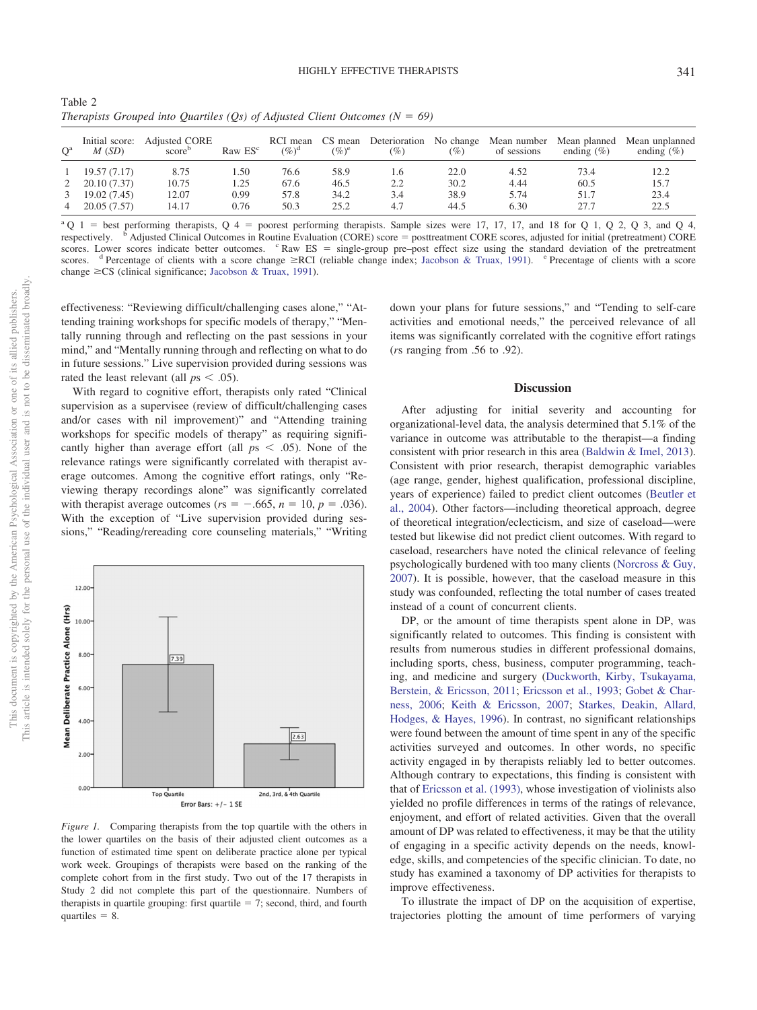<span id="page-4-0"></span>

| Table 2                                                                         |  |
|---------------------------------------------------------------------------------|--|
| Therapists Grouped into Quartiles (Qs) of Adjusted Client Outcomes ( $N = 69$ ) |  |

| $O^a$          | M(SD)                | Initial score: Adjusted CORE<br>score <sup>b</sup> | Raw $ESc$ | RCI mean<br>$(\%)^d$ | $(\%)^e$ | (%) | (%)  | of sessions | ending $(\% )$ | CS mean Deterioration No change Mean number Mean planned Mean unplanned<br>ending $(\% )$ |
|----------------|----------------------|----------------------------------------------------|-----------|----------------------|----------|-----|------|-------------|----------------|-------------------------------------------------------------------------------------------|
|                | 19.57(7.17)          | 8.75                                               | .50       | 76.6                 | 58.9     | 1.6 | 22.0 | 4.52        | 73.4           | 12.2                                                                                      |
|                | $2\quad 20.10(7.37)$ | 10.75                                              | 1.25      | 67.6                 | 46.5     | 2.2 | 30.2 | 4.44        | 60.5           | 15.7                                                                                      |
| 3              | 19.02 (7.45)         | 12.07                                              | 0.99      | 57.8                 | 34.2     | 3.4 | 38.9 | 5.74        | 51.7           | 23.4                                                                                      |
| $\overline{4}$ | 20.05(7.57)          | 14.17                                              | 0.76      | 50.3                 | 25.2     | 4.7 | 44.5 | 6.30        | 27.7           | 22.5                                                                                      |

 ${}^{\text{a}}$  Q 1 = best performing therapists, Q 4 = poorest performing therapists. Sample sizes were 17, 17, 17, 17, and 18 for Q 1, Q 2, Q 3, and Q 4, respectively. <sup>6</sup> Adjusted Clinical Outcomes in Routine Evaluation (CORE) score = posttreatment CORE scores, adjusted for initial (pretreatment) CORE scores. Lower scores indicate better outcomes.  $\epsilon$ Raw ES = single-group pre–post effect size using the standard deviation of the pretreatment scores. <sup>d</sup> Percentage of clients with a score change  $\geq$ RCI (reliable change index; [Jacobson & Truax, 1991\)](#page-7-20). <sup>e</sup> Precentage of clients with a score change ≥CS (clinical significance; [Jacobson & Truax, 1991\)](#page-7-20).

effectiveness: "Reviewing difficult/challenging cases alone," "Attending training workshops for specific models of therapy," "Mentally running through and reflecting on the past sessions in your mind," and "Mentally running through and reflecting on what to do in future sessions." Live supervision provided during sessions was rated the least relevant (all  $ps < .05$ ).

With regard to cognitive effort, therapists only rated "Clinical supervision as a supervisee (review of difficult/challenging cases and/or cases with nil improvement)" and "Attending training workshops for specific models of therapy" as requiring significantly higher than average effort (all  $ps < .05$ ). None of the relevance ratings were significantly correlated with therapist average outcomes. Among the cognitive effort ratings, only "Reviewing therapy recordings alone" was significantly correlated with therapist average outcomes ( $rs = -.665$ ,  $n = 10$ ,  $p = .036$ ). With the exception of "Live supervision provided during sessions," "Reading/rereading core counseling materials," "Writing



<span id="page-4-1"></span>*Figure 1.* Comparing therapists from the top quartile with the others in the lower quartiles on the basis of their adjusted client outcomes as a function of estimated time spent on deliberate practice alone per typical work week. Groupings of therapists were based on the ranking of the complete cohort from in the first study. Two out of the 17 therapists in Study 2 did not complete this part of the questionnaire. Numbers of therapists in quartile grouping: first quartile  $= 7$ ; second, third, and fourth quartiles  $= 8$ .

down your plans for future sessions," and "Tending to self-care activities and emotional needs," the perceived relevance of all items was significantly correlated with the cognitive effort ratings (*r*s ranging from .56 to .92).

#### **Discussion**

After adjusting for initial severity and accounting for organizational-level data, the analysis determined that 5.1% of the variance in outcome was attributable to the therapist—a finding consistent with prior research in this area [\(Baldwin & Imel, 2013\)](#page-7-16). Consistent with prior research, therapist demographic variables (age range, gender, highest qualification, professional discipline, years of experience) failed to predict client outcomes [\(Beutler et](#page-7-17) [al., 2004\)](#page-7-17). Other factors—including theoretical approach, degree of theoretical integration/eclecticism, and size of caseload—were tested but likewise did not predict client outcomes. With regard to caseload, researchers have noted the clinical relevance of feeling psychologically burdened with too many clients [\(Norcross & Guy,](#page-8-16) [2007\)](#page-8-16). It is possible, however, that the caseload measure in this study was confounded, reflecting the total number of cases treated instead of a count of concurrent clients.

DP, or the amount of time therapists spent alone in DP, was significantly related to outcomes. This finding is consistent with results from numerous studies in different professional domains, including sports, chess, business, computer programming, teaching, and medicine and surgery [\(Duckworth, Kirby, Tsukayama,](#page-7-18) [Berstein, & Ericsson, 2011;](#page-7-18) [Ericsson et al., 1993;](#page-7-2) [Gobet & Char](#page-7-5)[ness, 2006;](#page-7-5) [Keith & Ericsson, 2007;](#page-7-19) [Starkes, Deakin, Allard,](#page-8-17) [Hodges, & Hayes, 1996\)](#page-8-17). In contrast, no significant relationships were found between the amount of time spent in any of the specific activities surveyed and outcomes. In other words, no specific activity engaged in by therapists reliably led to better outcomes. Although contrary to expectations, this finding is consistent with that of [Ericsson et al. \(1993\),](#page-7-2) whose investigation of violinists also yielded no profile differences in terms of the ratings of relevance, enjoyment, and effort of related activities. Given that the overall amount of DP was related to effectiveness, it may be that the utility of engaging in a specific activity depends on the needs, knowledge, skills, and competencies of the specific clinician. To date, no study has examined a taxonomy of DP activities for therapists to improve effectiveness.

To illustrate the impact of DP on the acquisition of expertise, trajectories plotting the amount of time performers of varying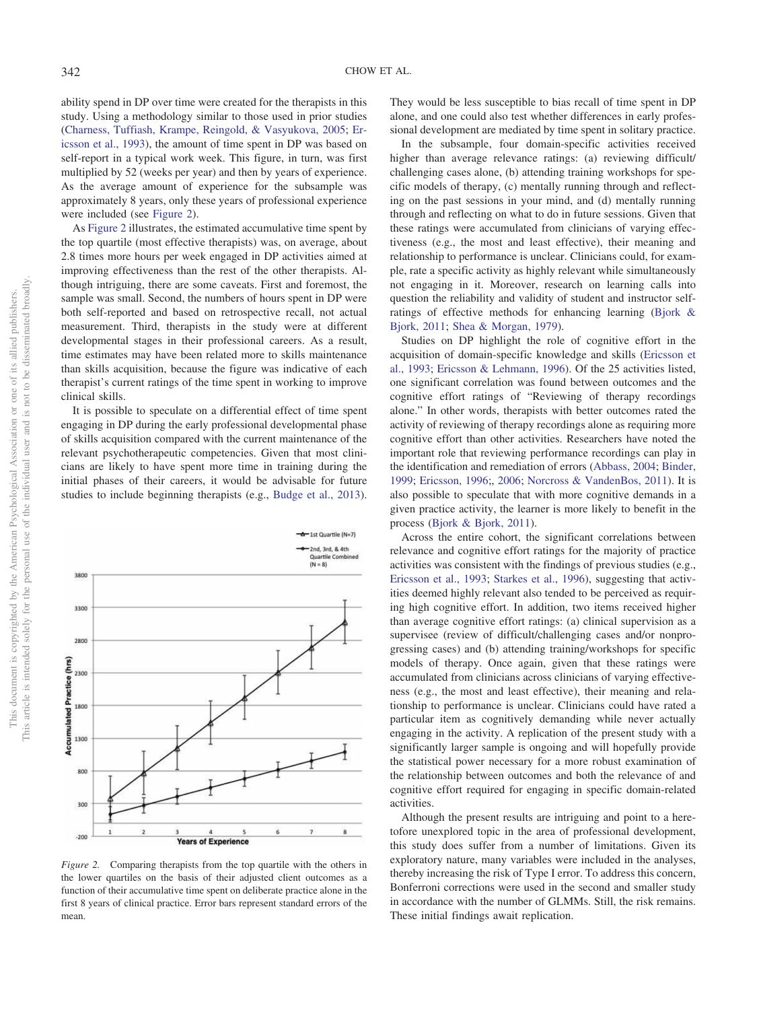ability spend in DP over time were created for the therapists in this study. Using a methodology similar to those used in prior studies [\(Charness, Tuffiash, Krampe, Reingold, & Vasyukova, 2005;](#page-7-21) [Er](#page-7-2)[icsson et al., 1993\)](#page-7-2), the amount of time spent in DP was based on self-report in a typical work week. This figure, in turn, was first multiplied by 52 (weeks per year) and then by years of experience. As the average amount of experience for the subsample was approximately 8 years, only these years of professional experience were included (see [Figure 2\)](#page-5-0).

As [Figure 2](#page-5-0) illustrates, the estimated accumulative time spent by the top quartile (most effective therapists) was, on average, about 2.8 times more hours per week engaged in DP activities aimed at improving effectiveness than the rest of the other therapists. Although intriguing, there are some caveats. First and foremost, the sample was small. Second, the numbers of hours spent in DP were both self-reported and based on retrospective recall, not actual measurement. Third, therapists in the study were at different developmental stages in their professional careers. As a result, time estimates may have been related more to skills maintenance than skills acquisition, because the figure was indicative of each therapist's current ratings of the time spent in working to improve clinical skills.

It is possible to speculate on a differential effect of time spent engaging in DP during the early professional developmental phase of skills acquisition compared with the current maintenance of the relevant psychotherapeutic competencies. Given that most clinicians are likely to have spent more time in training during the initial phases of their careers, it would be advisable for future studies to include beginning therapists (e.g., [Budge et al., 2013\)](#page-7-22).



<span id="page-5-0"></span>*Figure 2.* Comparing therapists from the top quartile with the others in the lower quartiles on the basis of their adjusted client outcomes as a function of their accumulative time spent on deliberate practice alone in the first 8 years of clinical practice. Error bars represent standard errors of the mean.

They would be less susceptible to bias recall of time spent in DP alone, and one could also test whether differences in early professional development are mediated by time spent in solitary practice.

In the subsample, four domain-specific activities received higher than average relevance ratings: (a) reviewing difficult/ challenging cases alone, (b) attending training workshops for specific models of therapy, (c) mentally running through and reflecting on the past sessions in your mind, and (d) mentally running through and reflecting on what to do in future sessions. Given that these ratings were accumulated from clinicians of varying effectiveness (e.g., the most and least effective), their meaning and relationship to performance is unclear. Clinicians could, for example, rate a specific activity as highly relevant while simultaneously not engaging in it. Moreover, research on learning calls into question the reliability and validity of student and instructor selfratings of effective methods for enhancing learning [\(Bjork &](#page-7-23) [Bjork, 2011;](#page-7-23) [Shea & Morgan, 1979\)](#page-8-18).

Studies on DP highlight the role of cognitive effort in the acquisition of domain-specific knowledge and skills [\(Ericsson et](#page-7-2) [al., 1993;](#page-7-2) [Ericsson & Lehmann, 1996\)](#page-7-7). Of the 25 activities listed, one significant correlation was found between outcomes and the cognitive effort ratings of "Reviewing of therapy recordings alone." In other words, therapists with better outcomes rated the activity of reviewing of therapy recordings alone as requiring more cognitive effort than other activities. Researchers have noted the important role that reviewing performance recordings can play in the identification and remediation of errors [\(Abbass, 2004;](#page-6-0) [Binder,](#page-7-24) [1999;](#page-7-24) [Ericsson, 1996;](#page-7-0), [2006;](#page-7-1) [Norcross & VandenBos, 2011\)](#page-8-19). It is also possible to speculate that with more cognitive demands in a given practice activity, the learner is more likely to benefit in the process [\(Bjork & Bjork, 2011\)](#page-7-23).

Across the entire cohort, the significant correlations between relevance and cognitive effort ratings for the majority of practice activities was consistent with the findings of previous studies (e.g., [Ericsson et al., 1993;](#page-7-2) [Starkes et al., 1996\)](#page-8-17), suggesting that activities deemed highly relevant also tended to be perceived as requiring high cognitive effort. In addition, two items received higher than average cognitive effort ratings: (a) clinical supervision as a supervisee (review of difficult/challenging cases and/or nonprogressing cases) and (b) attending training/workshops for specific models of therapy. Once again, given that these ratings were accumulated from clinicians across clinicians of varying effectiveness (e.g., the most and least effective), their meaning and relationship to performance is unclear. Clinicians could have rated a particular item as cognitively demanding while never actually engaging in the activity. A replication of the present study with a significantly larger sample is ongoing and will hopefully provide the statistical power necessary for a more robust examination of the relationship between outcomes and both the relevance of and cognitive effort required for engaging in specific domain-related activities.

Although the present results are intriguing and point to a heretofore unexplored topic in the area of professional development, this study does suffer from a number of limitations. Given its exploratory nature, many variables were included in the analyses, thereby increasing the risk of Type I error. To address this concern, Bonferroni corrections were used in the second and smaller study in accordance with the number of GLMMs. Still, the risk remains. These initial findings await replication.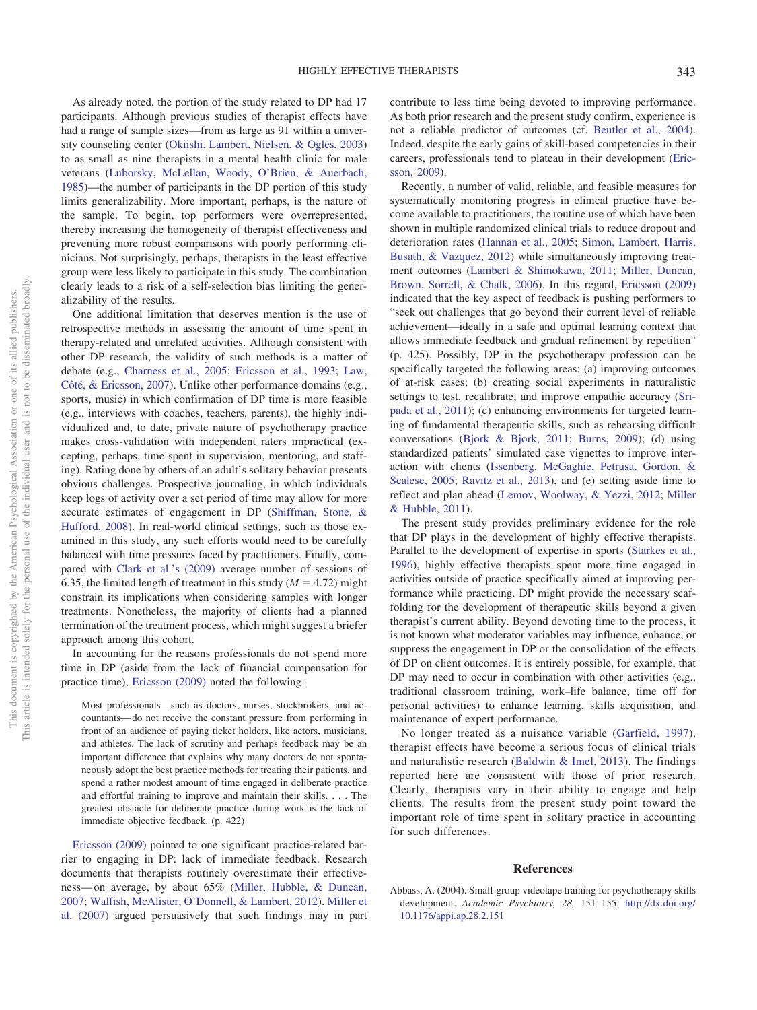As already noted, the portion of the study related to DP had 17 participants. Although previous studies of therapist effects have had a range of sample sizes—from as large as 91 within a university counseling center [\(Okiishi, Lambert, Nielsen, & Ogles, 2003\)](#page-8-20) to as small as nine therapists in a mental health clinic for male veterans [\(Luborsky, McLellan, Woody, O'Brien, & Auerbach,](#page-8-21) [1985\)](#page-8-21)—the number of participants in the DP portion of this study limits generalizability. More important, perhaps, is the nature of the sample. To begin, top performers were overrepresented, thereby increasing the homogeneity of therapist effectiveness and preventing more robust comparisons with poorly performing clinicians. Not surprisingly, perhaps, therapists in the least effective group were less likely to participate in this study. The combination clearly leads to a risk of a self-selection bias limiting the generalizability of the results.

One additional limitation that deserves mention is the use of retrospective methods in assessing the amount of time spent in therapy-related and unrelated activities. Although consistent with other DP research, the validity of such methods is a matter of debate (e.g., [Charness et al., 2005;](#page-7-21) [Ericsson et al., 1993;](#page-7-2) [Law,](#page-8-22) [Côté, & Ericsson, 2007\)](#page-8-22). Unlike other performance domains (e.g., sports, music) in which confirmation of DP time is more feasible (e.g., interviews with coaches, teachers, parents), the highly individualized and, to date, private nature of psychotherapy practice makes cross-validation with independent raters impractical (excepting, perhaps, time spent in supervision, mentoring, and staffing). Rating done by others of an adult's solitary behavior presents obvious challenges. Prospective journaling, in which individuals keep logs of activity over a set period of time may allow for more accurate estimates of engagement in DP [\(Shiffman, Stone, &](#page-8-23) [Hufford, 2008\)](#page-8-23). In real-world clinical settings, such as those examined in this study, any such efforts would need to be carefully balanced with time pressures faced by practitioners. Finally, compared with [Clark et al.'s \(2009\)](#page-7-8) average number of sessions of 6.35, the limited length of treatment in this study  $(M = 4.72)$  might constrain its implications when considering samples with longer treatments. Nonetheless, the majority of clients had a planned termination of the treatment process, which might suggest a briefer approach among this cohort.

In accounting for the reasons professionals do not spend more time in DP (aside from the lack of financial compensation for practice time), [Ericsson \(2009\)](#page-7-25) noted the following:

Most professionals—such as doctors, nurses, stockbrokers, and accountants— do not receive the constant pressure from performing in front of an audience of paying ticket holders, like actors, musicians, and athletes. The lack of scrutiny and perhaps feedback may be an important difference that explains why many doctors do not spontaneously adopt the best practice methods for treating their patients, and spend a rather modest amount of time engaged in deliberate practice and effortful training to improve and maintain their skills. . . . The greatest obstacle for deliberate practice during work is the lack of immediate objective feedback. (p. 422)

[Ericsson \(2009\)](#page-7-25) pointed to one significant practice-related barrier to engaging in DP: lack of immediate feedback. Research documents that therapists routinely overestimate their effectiveness— on average, by about 65% [\(Miller, Hubble, & Duncan,](#page-8-24) [2007;](#page-8-24) [Walfish, McAlister, O'Donnell, & Lambert, 2012\)](#page-8-25). [Miller et](#page-8-24) [al. \(2007\)](#page-8-24) argued persuasively that such findings may in part contribute to less time being devoted to improving performance. As both prior research and the present study confirm, experience is not a reliable predictor of outcomes (cf. [Beutler et al., 2004\)](#page-7-17). Indeed, despite the early gains of skill-based competencies in their careers, professionals tend to plateau in their development [\(Eric](#page-7-25)[sson, 2009\)](#page-7-25).

Recently, a number of valid, reliable, and feasible measures for systematically monitoring progress in clinical practice have become available to practitioners, the routine use of which have been shown in multiple randomized clinical trials to reduce dropout and deterioration rates [\(Hannan et al., 2005;](#page-7-26) [Simon, Lambert, Harris,](#page-8-26) [Busath, & Vazquez, 2012\)](#page-8-26) while simultaneously improving treatment outcomes [\(Lambert & Shimokawa, 2011;](#page-8-27) [Miller, Duncan,](#page-8-28) [Brown, Sorrell, & Chalk, 2006\)](#page-8-28). In this regard, [Ericsson \(2009\)](#page-7-25) indicated that the key aspect of feedback is pushing performers to "seek out challenges that go beyond their current level of reliable achievement—ideally in a safe and optimal learning context that allows immediate feedback and gradual refinement by repetition" (p. 425). Possibly, DP in the psychotherapy profession can be specifically targeted the following areas: (a) improving outcomes of at-risk cases; (b) creating social experiments in naturalistic settings to test, recalibrate, and improve empathic accuracy [\(Sri](#page-8-29)[pada et al., 2011\)](#page-8-29); (c) enhancing environments for targeted learning of fundamental therapeutic skills, such as rehearsing difficult conversations [\(Bjork & Bjork, 2011;](#page-7-23) [Burns, 2009\)](#page-7-27); (d) using standardized patients' simulated case vignettes to improve interaction with clients [\(Issenberg, McGaghie, Petrusa, Gordon, &](#page-7-28) [Scalese, 2005;](#page-7-28) [Ravitz et al., 2013\)](#page-8-30), and (e) setting aside time to reflect and plan ahead [\(Lemov, Woolway, & Yezzi, 2012;](#page-8-31) [Miller](#page-8-0) [& Hubble, 2011\)](#page-8-0).

The present study provides preliminary evidence for the role that DP plays in the development of highly effective therapists. Parallel to the development of expertise in sports [\(Starkes et al.,](#page-8-17) [1996\)](#page-8-17), highly effective therapists spent more time engaged in activities outside of practice specifically aimed at improving performance while practicing. DP might provide the necessary scaffolding for the development of therapeutic skills beyond a given therapist's current ability. Beyond devoting time to the process, it is not known what moderator variables may influence, enhance, or suppress the engagement in DP or the consolidation of the effects of DP on client outcomes. It is entirely possible, for example, that DP may need to occur in combination with other activities (e.g., traditional classroom training, work–life balance, time off for personal activities) to enhance learning, skills acquisition, and maintenance of expert performance.

No longer treated as a nuisance variable [\(Garfield, 1997\)](#page-7-29), therapist effects have become a serious focus of clinical trials and naturalistic research [\(Baldwin & Imel, 2013\)](#page-7-16). The findings reported here are consistent with those of prior research. Clearly, therapists vary in their ability to engage and help clients. The results from the present study point toward the important role of time spent in solitary practice in accounting for such differences.

#### **References**

<span id="page-6-0"></span>Abbass, A. (2004). Small-group videotape training for psychotherapy skills development. *Academic Psychiatry, 28,* 151–155. [http://dx.doi.org/](http://dx.doi.org/10.1176/appi.ap.28.2.151) [10.1176/appi.ap.28.2.151](http://dx.doi.org/10.1176/appi.ap.28.2.151)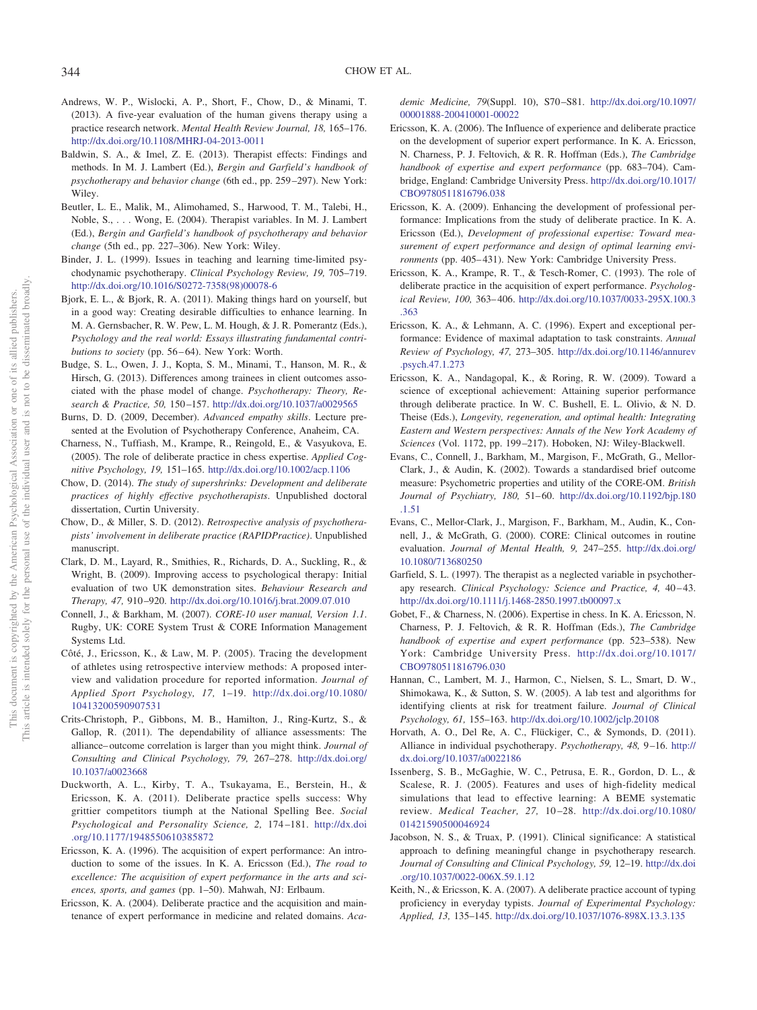- <span id="page-7-12"></span>Andrews, W. P., Wislocki, A. P., Short, F., Chow, D., & Minami, T. (2013). A five-year evaluation of the human givens therapy using a practice research network. *Mental Health Review Journal, 18,* 165–176. <http://dx.doi.org/10.1108/MHRJ-04-2013-0011>
- <span id="page-7-16"></span>Baldwin, S. A., & Imel, Z. E. (2013). Therapist effects: Findings and methods. In M. J. Lambert (Ed.), *Bergin and Garfield's handbook of psychotherapy and behavior change* (6th ed., pp. 259 –297). New York: Wiley.
- <span id="page-7-17"></span>Beutler, L. E., Malik, M., Alimohamed, S., Harwood, T. M., Talebi, H., Noble, S.,... Wong, E. (2004). Therapist variables. In M. J. Lambert (Ed.), *Bergin and Garfield's handbook of psychotherapy and behavior change* (5th ed., pp. 227–306). New York: Wiley.
- <span id="page-7-24"></span>Binder, J. L. (1999). Issues in teaching and learning time-limited psychodynamic psychotherapy. *Clinical Psychology Review, 19,* 705–719. [http://dx.doi.org/10.1016/S0272-7358\(98\)00078-6](http://dx.doi.org/10.1016/S0272-7358%2898%2900078-6)
- <span id="page-7-23"></span>Bjork, E. L., & Bjork, R. A. (2011). Making things hard on yourself, but in a good way: Creating desirable difficulties to enhance learning. In M. A. Gernsbacher, R. W. Pew, L. M. Hough, & J. R. Pomerantz (Eds.), *Psychology and the real world: Essays illustrating fundamental contri*butions to society (pp. 56-64). New York: Worth.
- <span id="page-7-22"></span>Budge, S. L., Owen, J. J., Kopta, S. M., Minami, T., Hanson, M. R., & Hirsch, G. (2013). Differences among trainees in client outcomes associated with the phase model of change. *Psychotherapy: Theory, Research & Practice, 50,* 150 –157. <http://dx.doi.org/10.1037/a0029565>
- <span id="page-7-27"></span>Burns, D. D. (2009, December). *Advanced empathy skills*. Lecture presented at the Evolution of Psychotherapy Conference, Anaheim, CA.
- <span id="page-7-21"></span>Charness, N., Tuffiash, M., Krampe, R., Reingold, E., & Vasyukova, E. (2005). The role of deliberate practice in chess expertise. *Applied Cognitive Psychology, 19,* 151–165. <http://dx.doi.org/10.1002/acp.1106>
- <span id="page-7-9"></span>Chow, D. (2014). *The study of supershrinks: Development and deliberate practices of highly effective psychotherapists*. Unpublished doctoral dissertation, Curtin University.
- <span id="page-7-15"></span>Chow, D., & Miller, S. D. (2012). *Retrospective analysis of psychotherapists' involvement in deliberate practice (RAPIDPractice)*. Unpublished manuscript.
- <span id="page-7-8"></span>Clark, D. M., Layard, R., Smithies, R., Richards, D. A., Suckling, R., & Wright, B. (2009). Improving access to psychological therapy: Initial evaluation of two UK demonstration sites. *Behaviour Research and Therapy, 47,* 910 –920. <http://dx.doi.org/10.1016/j.brat.2009.07.010>
- <span id="page-7-10"></span>Connell, J., & Barkham, M. (2007). *CORE-10 user manual, Version 1.1*. Rugby, UK: CORE System Trust & CORE Information Management Systems Ltd.
- <span id="page-7-6"></span>Côté, J., Ericsson, K., & Law, M. P. (2005). Tracing the development of athletes using retrospective interview methods: A proposed interview and validation procedure for reported information. *Journal of Applied Sport Psychology, 17,* 1–19. [http://dx.doi.org/10.1080/](http://dx.doi.org/10.1080/10413200590907531) [10413200590907531](http://dx.doi.org/10.1080/10413200590907531)
- <span id="page-7-3"></span>Crits-Christoph, P., Gibbons, M. B., Hamilton, J., Ring-Kurtz, S., & Gallop, R. (2011). The dependability of alliance assessments: The alliance– outcome correlation is larger than you might think. *Journal of Consulting and Clinical Psychology, 79,* 267–278. [http://dx.doi.org/](http://dx.doi.org/10.1037/a0023668) [10.1037/a0023668](http://dx.doi.org/10.1037/a0023668)
- <span id="page-7-18"></span>Duckworth, A. L., Kirby, T. A., Tsukayama, E., Berstein, H., & Ericsson, K. A. (2011). Deliberate practice spells success: Why grittier competitors tiumph at the National Spelling Bee. *Social Psychological and Personality Science, 2,* 174 –181. [http://dx.doi](http://dx.doi.org/10.1177/1948550610385872) [.org/10.1177/1948550610385872](http://dx.doi.org/10.1177/1948550610385872)
- <span id="page-7-0"></span>Ericsson, K. A. (1996). The acquisition of expert performance: An introduction to some of the issues. In K. A. Ericsson (Ed.), *The road to excellence: The acquisition of expert performance in the arts and sciences, sports, and games* (pp. 1–50). Mahwah, NJ: Erlbaum.
- <span id="page-7-14"></span>Ericsson, K. A. (2004). Deliberate practice and the acquisition and maintenance of expert performance in medicine and related domains. *Aca-*

*demic Medicine, 79*(Suppl. 10), S70 –S81. [http://dx.doi.org/10.1097/](http://dx.doi.org/10.1097/00001888-200410001-00022) [00001888-200410001-00022](http://dx.doi.org/10.1097/00001888-200410001-00022)

- <span id="page-7-1"></span>Ericsson, K. A. (2006). The Influence of experience and deliberate practice on the development of superior expert performance. In K. A. Ericsson, N. Charness, P. J. Feltovich, & R. R. Hoffman (Eds.), *The Cambridge handbook of expertise and expert performance* (pp. 683–704). Cambridge, England: Cambridge University Press. [http://dx.doi.org/10.1017/](http://dx.doi.org/10.1017/CBO9780511816796.038) [CBO9780511816796.038](http://dx.doi.org/10.1017/CBO9780511816796.038)
- <span id="page-7-25"></span>Ericsson, K. A. (2009). Enhancing the development of professional performance: Implications from the study of deliberate practice. In K. A. Ericsson (Ed.), *Development of professional expertise: Toward measurement of expert performance and design of optimal learning environments* (pp. 405–431). New York: Cambridge University Press.
- <span id="page-7-2"></span>Ericsson, K. A., Krampe, R. T., & Tesch-Romer, C. (1993). The role of deliberate practice in the acquisition of expert performance. *Psychological Review, 100,* 363– 406. [http://dx.doi.org/10.1037/0033-295X.100.3](http://dx.doi.org/10.1037/0033-295X.100.3.363) [.363](http://dx.doi.org/10.1037/0033-295X.100.3.363)
- <span id="page-7-7"></span>Ericsson, K. A., & Lehmann, A. C. (1996). Expert and exceptional performance: Evidence of maximal adaptation to task constraints. *Annual Review of Psychology, 47,* 273–305. [http://dx.doi.org/10.1146/annurev](http://dx.doi.org/10.1146/annurev.psych.47.1.273) [.psych.47.1.273](http://dx.doi.org/10.1146/annurev.psych.47.1.273)
- Ericsson, K. A., Nandagopal, K., & Roring, R. W. (2009). Toward a science of exceptional achievement: Attaining superior performance through deliberate practice. In W. C. Bushell, E. L. Olivio, & N. D. Theise (Eds.), *Longevity, regeneration, and optimal health: Integrating Eastern and Western perspectives: Annals of the New York Academy of Sciences* (Vol. 1172, pp. 199 –217). Hoboken, NJ: Wiley-Blackwell.
- <span id="page-7-13"></span>Evans, C., Connell, J., Barkham, M., Margison, F., McGrath, G., Mellor-Clark, J., & Audin, K. (2002). Towards a standardised brief outcome measure: Psychometric properties and utility of the CORE-OM. *British Journal of Psychiatry, 180,* 51– 60. [http://dx.doi.org/10.1192/bjp.180](http://dx.doi.org/10.1192/bjp.180.1.51) [.1.51](http://dx.doi.org/10.1192/bjp.180.1.51)
- <span id="page-7-11"></span>Evans, C., Mellor-Clark, J., Margison, F., Barkham, M., Audin, K., Connell, J., & McGrath, G. (2000). CORE: Clinical outcomes in routine evaluation. *Journal of Mental Health, 9,* 247–255. [http://dx.doi.org/](http://dx.doi.org/10.1080/713680250) [10.1080/713680250](http://dx.doi.org/10.1080/713680250)
- <span id="page-7-29"></span>Garfield, S. L. (1997). The therapist as a neglected variable in psychotherapy research. *Clinical Psychology: Science and Practice*, 4, 40-43. <http://dx.doi.org/10.1111/j.1468-2850.1997.tb00097.x>
- <span id="page-7-5"></span>Gobet, F., & Charness, N. (2006). Expertise in chess. In K. A. Ericsson, N. Charness, P. J. Feltovich, & R. R. Hoffman (Eds.), *The Cambridge handbook of expertise and expert performance* (pp. 523–538). New York: Cambridge University Press. [http://dx.doi.org/10.1017/](http://dx.doi.org/10.1017/CBO9780511816796.030) [CBO9780511816796.030](http://dx.doi.org/10.1017/CBO9780511816796.030)
- <span id="page-7-26"></span>Hannan, C., Lambert, M. J., Harmon, C., Nielsen, S. L., Smart, D. W., Shimokawa, K., & Sutton, S. W. (2005). A lab test and algorithms for identifying clients at risk for treatment failure. *Journal of Clinical Psychology, 61,* 155–163. <http://dx.doi.org/10.1002/jclp.20108>
- <span id="page-7-4"></span>Horvath, A. O., Del Re, A. C., Flückiger, C., & Symonds, D. (2011). Alliance in individual psychotherapy. *Psychotherapy, 48,* 9 –16. [http://](http://dx.doi.org/10.1037/a0022186) [dx.doi.org/10.1037/a0022186](http://dx.doi.org/10.1037/a0022186)
- <span id="page-7-28"></span>Issenberg, S. B., McGaghie, W. C., Petrusa, E. R., Gordon, D. L., & Scalese, R. J. (2005). Features and uses of high-fidelity medical simulations that lead to effective learning: A BEME systematic review. *Medical Teacher, 27,* 10 –28. [http://dx.doi.org/10.1080/](http://dx.doi.org/10.1080/01421590500046924) [01421590500046924](http://dx.doi.org/10.1080/01421590500046924)
- <span id="page-7-20"></span>Jacobson, N. S., & Truax, P. (1991). Clinical significance: A statistical approach to defining meaningful change in psychotherapy research. *Journal of Consulting and Clinical Psychology, 59,* 12–19. [http://dx.doi](http://dx.doi.org/10.1037/0022-006X.59.1.12) [.org/10.1037/0022-006X.59.1.12](http://dx.doi.org/10.1037/0022-006X.59.1.12)
- <span id="page-7-19"></span>Keith, N., & Ericsson, K. A. (2007). A deliberate practice account of typing proficiency in everyday typists. *Journal of Experimental Psychology: Applied, 13,* 135–145. <http://dx.doi.org/10.1037/1076-898X.13.3.135>